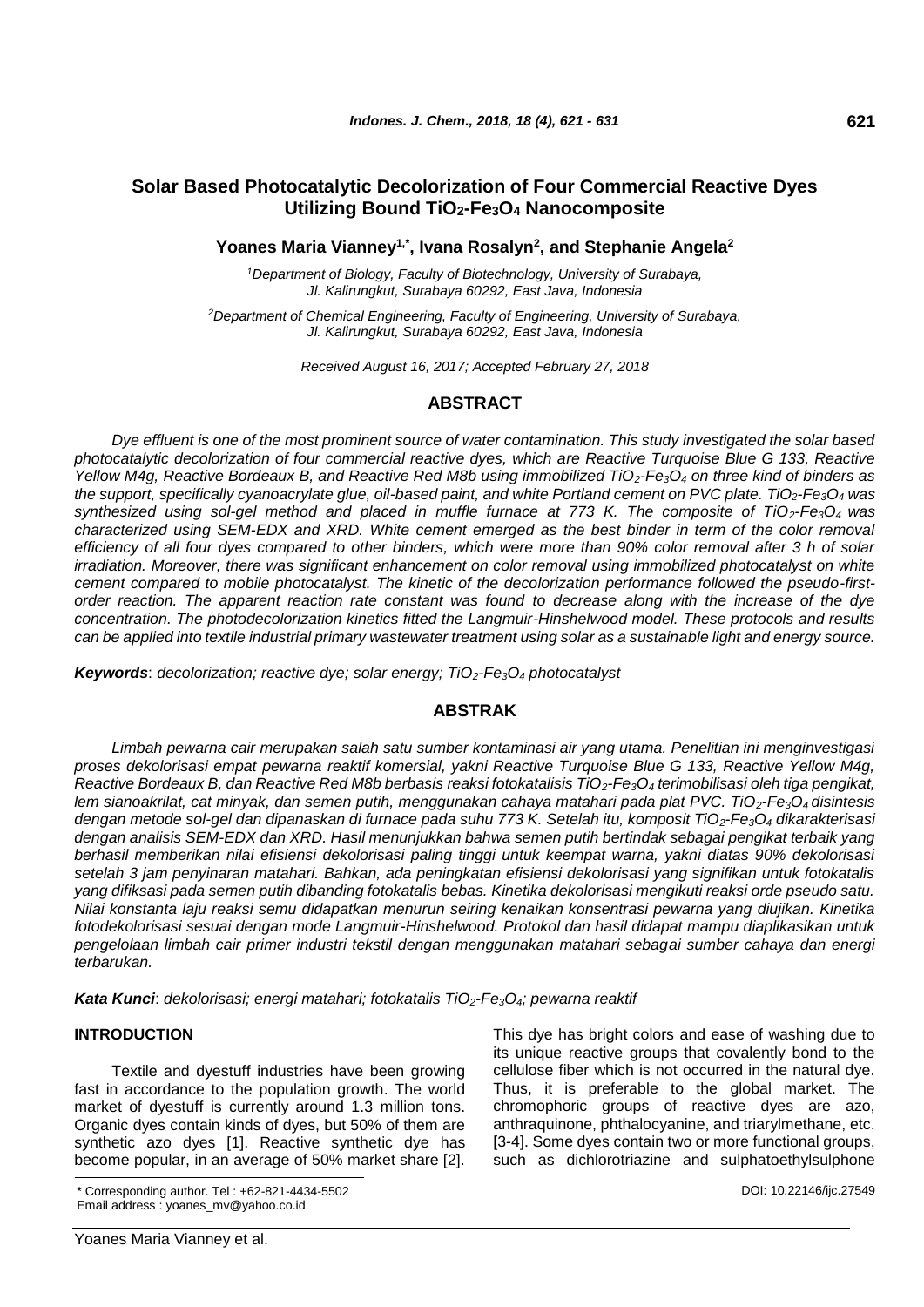# **Solar Based Photocatalytic Decolorization of Four Commercial Reactive Dyes Utilizing Bound TiO2-Fe3O<sup>4</sup> Nanocomposite**

**Yoanes Maria Vianney1,\*, Ivana Rosalyn<sup>2</sup> , and Stephanie Angela<sup>2</sup>**

*<sup>1</sup>Department of Biology, Faculty of Biotechnology, University of Surabaya, Jl. Kalirungkut, Surabaya 60292, East Java, Indonesia*

*<sup>2</sup>Department of Chemical Engineering, Faculty of Engineering, University of Surabaya, Jl. Kalirungkut, Surabaya 60292, East Java, Indonesia*

*Received August 16, 2017; Accepted February 27, 2018*

## **ABSTRACT**

*Dye effluent is one of the most prominent source of water contamination. This study investigated the solar based photocatalytic decolorization of four commercial reactive dyes, which are Reactive Turquoise Blue G 133, Reactive Yellow M4g, Reactive Bordeaux B, and Reactive Red M8b using immobilized TiO2-Fe3O<sup>4</sup> on three kind of binders as the support, specifically cyanoacrylate glue, oil-based paint, and white Portland cement on PVC plate. TiO2-Fe3O<sup>4</sup> was synthesized using sol-gel method and placed in muffle furnace at 773 K. The composite of TiO2-Fe3O4 was characterized using SEM-EDX and XRD. White cement emerged as the best binder in term of the color removal efficiency of all four dyes compared to other binders, which were more than 90% color removal after 3 h of solar irradiation. Moreover, there was significant enhancement on color removal using immobilized photocatalyst on white cement compared to mobile photocatalyst. The kinetic of the decolorization performance followed the pseudo-firstorder reaction. The apparent reaction rate constant was found to decrease along with the increase of the dye concentration. The photodecolorization kinetics fitted the Langmuir-Hinshelwood model. These protocols and results can be applied into textile industrial primary wastewater treatment using solar as a sustainable light and energy source.*

*Keywords*: *decolorization; reactive dye; solar energy; TiO2-Fe3O<sup>4</sup> photocatalyst*

## **ABSTRAK**

*Limbah pewarna cair merupakan salah satu sumber kontaminasi air yang utama. Penelitian ini menginvestigasi proses dekolorisasi empat pewarna reaktif komersial, yakni Reactive Turquoise Blue G 133, Reactive Yellow M4g, Reactive Bordeaux B, dan Reactive Red M8b berbasis reaksi fotokatalisis TiO2-Fe3O<sup>4</sup> terimobilisasi oleh tiga pengikat, lem sianoakrilat, cat minyak, dan semen putih, menggunakan cahaya matahari pada plat PVC. TiO2-Fe3O4 disintesis dengan metode sol-gel dan dipanaskan di furnace pada suhu 773 K. Setelah itu, komposit TiO2-Fe3O<sup>4</sup> dikarakterisasi dengan analisis SEM-EDX dan XRD. Hasil menunjukkan bahwa semen putih bertindak sebagai pengikat terbaik yang berhasil memberikan nilai efisiensi dekolorisasi paling tinggi untuk keempat warna, yakni diatas 90% dekolorisasi setelah 3 jam penyinaran matahari. Bahkan, ada peningkatan efisiensi dekolorisasi yang signifikan untuk fotokatalis yang difiksasi pada semen putih dibanding fotokatalis bebas. Kinetika dekolorisasi mengikuti reaksi orde pseudo satu. Nilai konstanta laju reaksi semu didapatkan menurun seiring kenaikan konsentrasi pewarna yang diujikan. Kinetika fotodekolorisasi sesuai dengan mode Langmuir-Hinshelwood. Protokol dan hasil didapat mampu diaplikasikan untuk pengelolaan limbah cair primer industri tekstil dengan menggunakan matahari sebagai sumber cahaya dan energi terbarukan.*

*Kata Kunci*: *dekolorisasi; energi matahari; fotokatalis TiO2-Fe3O4; pewarna reaktif*

## **INTRODUCTION**

Textile and dyestuff industries have been growing fast in accordance to the population growth. The world market of dyestuff is currently around 1.3 million tons. Organic dyes contain kinds of dyes, but 50% of them are synthetic azo dyes [1]. Reactive synthetic dye has become popular, in an average of 50% market share [2].

\* Corresponding author. Tel : +62-821-4434-5502 Email address : yoanes\_mv@yahoo.co.id

This dye has bright colors and ease of washing due to its unique reactive groups that covalently bond to the cellulose fiber which is not occurred in the natural dye. Thus, it is preferable to the global market. The chromophoric groups of reactive dyes are azo, anthraquinone, phthalocyanine, and triarylmethane, etc. [3-4]. Some dyes contain two or more functional groups, such as dichlorotriazine and sulphatoethylsulphone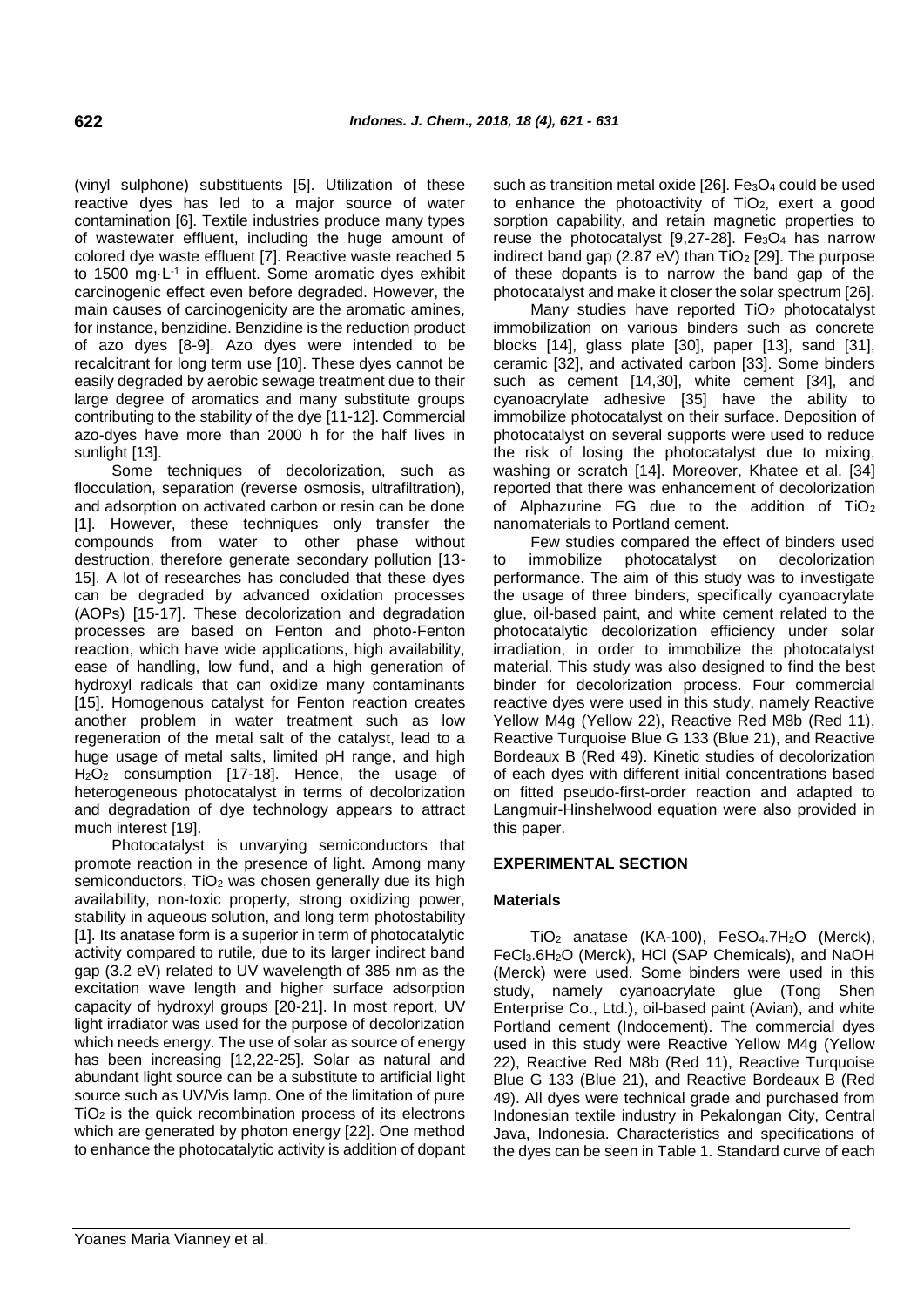(vinyl sulphone) substituents [5]. Utilization of these reactive dyes has led to a major source of water contamination [6]. Textile industries produce many types of wastewater effluent, including the huge amount of colored dye waste effluent [7]. Reactive waste reached 5 to 1500 mg·L<sup>-1</sup> in effluent. Some aromatic dyes exhibit carcinogenic effect even before degraded. However, the main causes of carcinogenicity are the aromatic amines, for instance, benzidine. Benzidine is the reduction product of azo dyes [8-9]. Azo dyes were intended to be recalcitrant for long term use [10]. These dyes cannot be easily degraded by aerobic sewage treatment due to their large degree of aromatics and many substitute groups contributing to the stability of the dye [11-12]. Commercial azo-dyes have more than 2000 h for the half lives in sunlight [13].

Some techniques of decolorization, such as flocculation, separation (reverse osmosis, ultrafiltration), and adsorption on activated carbon or resin can be done [1]. However, these techniques only transfer the compounds from water to other phase without destruction, therefore generate secondary pollution [13- 15]. A lot of researches has concluded that these dyes can be degraded by advanced oxidation processes (AOPs) [15-17]. These decolorization and degradation processes are based on Fenton and photo-Fenton reaction, which have wide applications, high availability, ease of handling, low fund, and a high generation of hydroxyl radicals that can oxidize many contaminants [15]. Homogenous catalyst for Fenton reaction creates another problem in water treatment such as low regeneration of the metal salt of the catalyst, lead to a huge usage of metal salts, limited pH range, and high H2O<sup>2</sup> consumption [17-18]. Hence, the usage of heterogeneous photocatalyst in terms of decolorization and degradation of dye technology appears to attract much interest [19].

Photocatalyst is unvarying semiconductors that promote reaction in the presence of light. Among many semiconductors, TiO<sub>2</sub> was chosen generally due its high availability, non-toxic property, strong oxidizing power, stability in aqueous solution, and long term photostability [1]. Its anatase form is a superior in term of photocatalytic activity compared to rutile, due to its larger indirect band gap (3.2 eV) related to UV wavelength of 385 nm as the excitation wave length and higher surface adsorption capacity of hydroxyl groups [20-21]. In most report, UV light irradiator was used for the purpose of decolorization which needs energy. The use of solar as source of energy has been increasing [12,22-25]. Solar as natural and abundant light source can be a substitute to artificial light source such as UV/Vis lamp. One of the limitation of pure TiO<sup>2</sup> is the quick recombination process of its electrons which are generated by photon energy [22]. One method to enhance the photocatalytic activity is addition of dopant such as transition metal oxide  $[26]$ . Fe<sub>3</sub>O<sub>4</sub> could be used to enhance the photoactivity of  $TiO<sub>2</sub>$ , exert a good sorption capability, and retain magnetic properties to reuse the photocatalyst  $[9,27-28]$ . Fe<sub>3</sub>O<sub>4</sub> has narrow indirect band gap (2.87 eV) than  $TiO<sub>2</sub>$  [29]. The purpose of these dopants is to narrow the band gap of the photocatalyst and make it closer the solar spectrum [26].

Many studies have reported TiO<sub>2</sub> photocatalyst immobilization on various binders such as concrete blocks [14], glass plate [30], paper [13], sand [31], ceramic [32], and activated carbon [33]. Some binders such as cement [14,30], white cement [34], and cyanoacrylate adhesive [35] have the ability to immobilize photocatalyst on their surface. Deposition of photocatalyst on several supports were used to reduce the risk of losing the photocatalyst due to mixing, washing or scratch [14]. Moreover, Khatee et al. [34] reported that there was enhancement of decolorization of Alphazurine FG due to the addition of  $TiO<sub>2</sub>$ nanomaterials to Portland cement.

Few studies compared the effect of binders used to immobilize photocatalyst on decolorization performance. The aim of this study was to investigate the usage of three binders, specifically cyanoacrylate glue, oil-based paint, and white cement related to the photocatalytic decolorization efficiency under solar irradiation, in order to immobilize the photocatalyst material. This study was also designed to find the best binder for decolorization process. Four commercial reactive dyes were used in this study, namely Reactive Yellow M4g (Yellow 22), Reactive Red M8b (Red 11), Reactive Turquoise Blue G 133 (Blue 21), and Reactive Bordeaux B (Red 49). Kinetic studies of decolorization of each dyes with different initial concentrations based on fitted pseudo-first-order reaction and adapted to Langmuir-Hinshelwood equation were also provided in this paper.

## **EXPERIMENTAL SECTION**

## **Materials**

TiO<sub>2</sub> anatase (KA-100), FeSO<sub>4</sub>.7H<sub>2</sub>O (Merck), FeCl3.6H2O (Merck), HCl (SAP Chemicals), and NaOH (Merck) were used. Some binders were used in this study, namely cyanoacrylate glue (Tong Shen Enterprise Co., Ltd.), oil-based paint (Avian), and white Portland cement (Indocement). The commercial dyes used in this study were Reactive Yellow M4g (Yellow 22), Reactive Red M8b (Red 11), Reactive Turquoise Blue G 133 (Blue 21), and Reactive Bordeaux B (Red 49). All dyes were technical grade and purchased from Indonesian textile industry in Pekalongan City, Central Java, Indonesia. Characteristics and specifications of the dyes can be seen in Table 1. Standard curve of each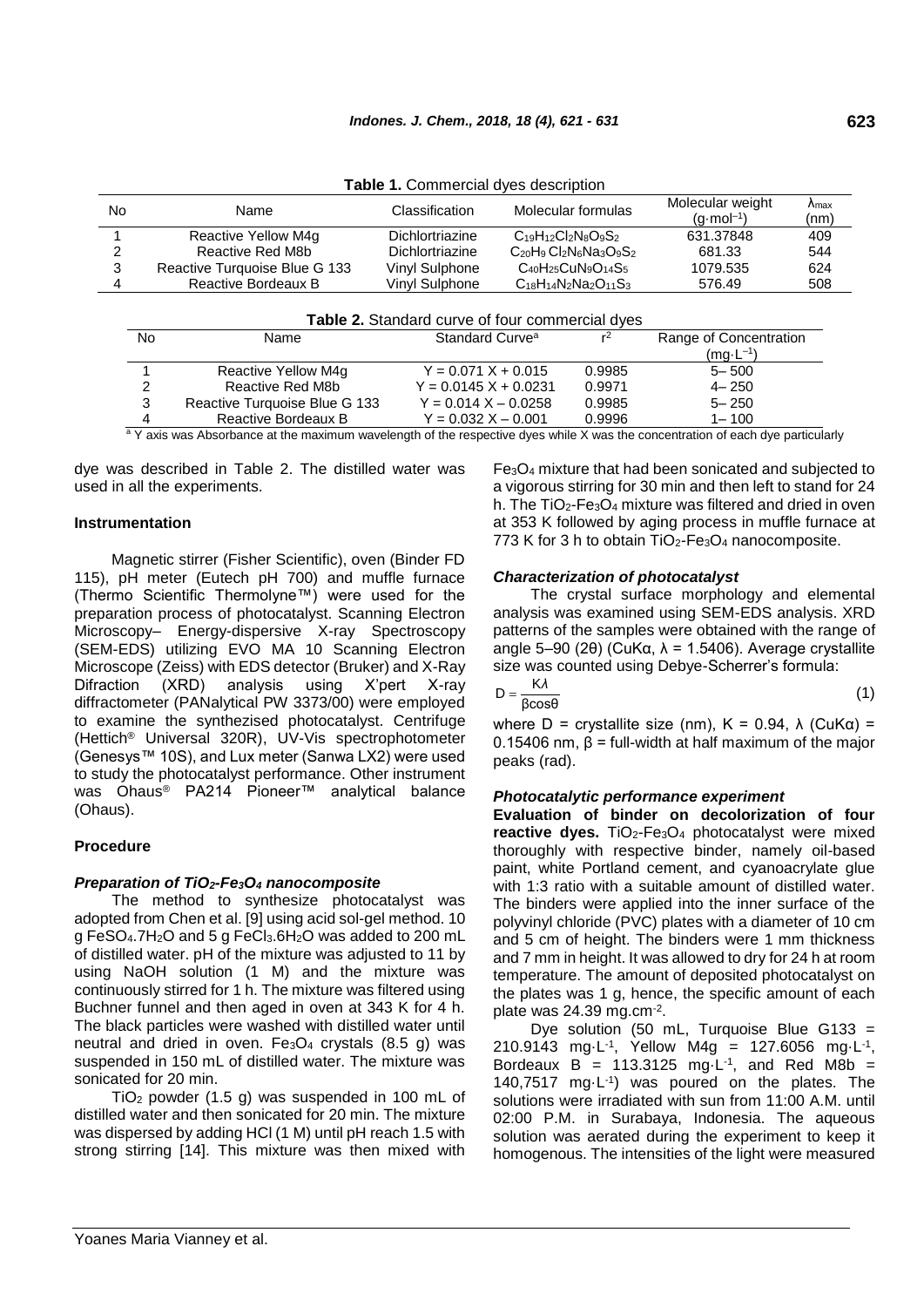| <b>HOUGHT:</b> OUTHING ONE OVER UPSOFILMOTI |                               |                        |                                |                                          |                       |  |  |
|---------------------------------------------|-------------------------------|------------------------|--------------------------------|------------------------------------------|-----------------------|--|--|
| No                                          | Name                          | Classification         | Molecular formulas             | Molecular weight<br>$(a \cdot mol^{-1})$ | $\Lambda$ max<br>(nm) |  |  |
|                                             | Reactive Yellow M4g           | <b>Dichlortriazine</b> | $C_{19}H_{12}Cl_2N_8O_9S_2$    | 631.37848                                | 409                   |  |  |
|                                             | Reactive Red M8b              | Dichlortriazine        | $C_{20}H_9C_{2}N_6Na_3O_9S_2$  | 681.33                                   | 544                   |  |  |
| 3                                           | Reactive Turquoise Blue G 133 | Vinyl Sulphone         | $C_{40}H_{25}CuN_9O_{14}S_5$   | 1079.535                                 | 624                   |  |  |
|                                             | Reactive Bordeaux B           | Vinvl Sulphone         | $C_{18}H_{14}N_2Na_2O_{11}S_3$ | 576.49                                   | 508                   |  |  |
|                                             |                               |                        |                                |                                          |                       |  |  |

**Table 1.** Commercial dyes description

| <b>Table 2.</b> Standard curve of four commercial dyes |                                                                                                                            |                         |                        |                     |  |  |
|--------------------------------------------------------|----------------------------------------------------------------------------------------------------------------------------|-------------------------|------------------------|---------------------|--|--|
| No                                                     | Standard Curve <sup>a</sup><br>$r^2$<br>Name                                                                               |                         | Range of Concentration |                     |  |  |
|                                                        |                                                                                                                            |                         |                        | $(mg \cdot L^{-1})$ |  |  |
|                                                        | Reactive Yellow M4q                                                                                                        | $Y = 0.071 X + 0.015$   | 0.9985                 | $5 - 500$           |  |  |
| 2                                                      | Reactive Red M8b                                                                                                           | $Y = 0.0145 X + 0.0231$ | 0.9971                 | $4 - 250$           |  |  |
| 3                                                      | Reactive Turquoise Blue G 133                                                                                              | $Y = 0.014 X - 0.0258$  | 0.9985                 | $5 - 250$           |  |  |
|                                                        | Reactive Bordeaux B                                                                                                        | $Y = 0.032 X - 0.001$   | 0.9996                 | $1 - 100$           |  |  |
|                                                        | a V avia was Abasthanas at the maximum wavelength of the respective dyse while V was the concentration of each dys partiau |                         |                        |                     |  |  |

Y axis was Absorbance at the maximum wavelength of the respective dyes while  $\overline{X}$  was the concentration of each dye particularly

dye was described in Table 2. The distilled water was used in all the experiments.

### **Instrumentation**

Magnetic stirrer (Fisher Scientific), oven (Binder FD 115), pH meter (Eutech pH 700) and muffle furnace (Thermo Scientific Thermolyne™) were used for the preparation process of photocatalyst. Scanning Electron Microscopy– Energy-dispersive X-ray Spectroscopy (SEM-EDS) utilizing EVO MA 10 Scanning Electron Microscope (Zeiss) with EDS detector (Bruker) and X-Ray Difraction (XRD) analysis using X'pert X-ray diffractometer (PANalytical PW 3373/00) were employed to examine the synthezised photocatalyst. Centrifuge (Hettich® Universal 320R), UV-Vis spectrophotometer (Genesys™ 10S), and Lux meter (Sanwa LX2) were used to study the photocatalyst performance. Other instrument was Ohaus® PA214 Pioneer™ analytical balance (Ohaus).

### **Procedure**

## *Preparation of TiO2-Fe3O<sup>4</sup> nanocomposite*

The method to synthesize photocatalyst was adopted from Chen et al. [9] using acid sol-gel method. 10 g FeSO4.7H2O and 5 g FeCl3.6H2O was added to 200 mL of distilled water. pH of the mixture was adjusted to 11 by using NaOH solution (1 M) and the mixture was continuously stirred for 1 h. The mixture was filtered using Buchner funnel and then aged in oven at 343 K for 4 h. The black particles were washed with distilled water until neutral and dried in oven.  $Fe<sub>3</sub>O<sub>4</sub>$  crystals (8.5 g) was suspended in 150 mL of distilled water. The mixture was sonicated for 20 min.

 $TiO<sub>2</sub>$  powder (1.5 g) was suspended in 100 mL of distilled water and then sonicated for 20 min. The mixture was dispersed by adding HCl (1 M) until pH reach 1.5 with strong stirring [14]. This mixture was then mixed with Fe3O<sup>4</sup> mixture that had been sonicated and subjected to a vigorous stirring for 30 min and then left to stand for 24 h. The TiO<sub>2</sub>-Fe<sub>3</sub>O<sub>4</sub> mixture was filtered and dried in oven at 353 K followed by aging process in muffle furnace at 773 K for 3 h to obtain  $TiO<sub>2</sub>-Fe<sub>3</sub>O<sub>4</sub>$  nanocomposite.

### *Characterization of photocatalyst*

The crystal surface morphology and elemental analysis was examined using SEM-EDS analysis. XRD patterns of the samples were obtained with the range of angle 5–90 (2θ) (CuKα,  $\lambda$  = 1.5406). Average crystallite size was counted using Debye-Scherrer's formula:

$$
D = \frac{K\lambda}{\beta\cos\theta} \tag{1}
$$

where  $D =$  crystallite size (nm),  $K = 0.94$ ,  $\lambda$  (CuKa) = 0.15406 nm, β = full-width at half maximum of the major peaks (rad).

#### *Photocatalytic performance experiment*

**Evaluation of binder on decolorization of four**  reactive dyes. TiO<sub>2</sub>-Fe<sub>3</sub>O<sub>4</sub> photocatalyst were mixed thoroughly with respective binder, namely oil-based paint, white Portland cement, and cyanoacrylate glue with 1:3 ratio with a suitable amount of distilled water. The binders were applied into the inner surface of the polyvinyl chloride (PVC) plates with a diameter of 10 cm and 5 cm of height. The binders were 1 mm thickness and 7 mm in height. It was allowed to dry for 24 h at room temperature. The amount of deposited photocatalyst on the plates was 1 g, hence, the specific amount of each plate was  $24.39$  mg.cm $^{-2}$ .

Dye solution (50 mL, Turquoise Blue G133 = 210.9143 mg $\cdot$ L<sup>-1</sup>, Yellow M4g = 127.6056 mg $\cdot$ L<sup>-1</sup>, Bordeaux  $B = 113.3125$  mg $L^{-1}$ , and Red M8b = 140,7517 mg·L-1 ) was poured on the plates. The solutions were irradiated with sun from 11:00 A.M. until 02:00 P.M. in Surabaya, Indonesia. The aqueous solution was aerated during the experiment to keep it homogenous. The intensities of the light were measured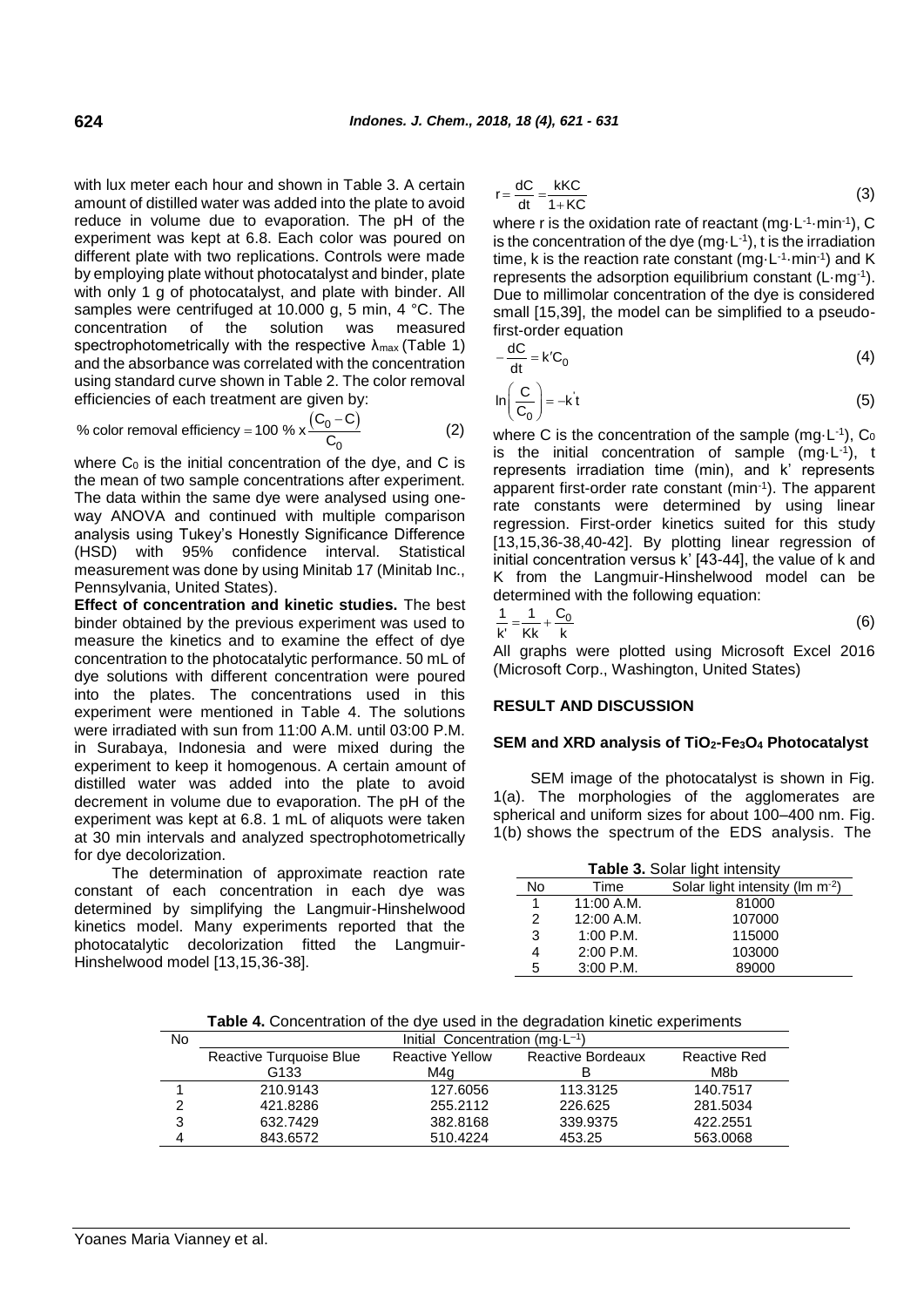with lux meter each hour and shown in Table 3. A certain amount of distilled water was added into the plate to avoid reduce in volume due to evaporation. The pH of the experiment was kept at 6.8. Each color was poured on different plate with two replications. Controls were made by employing plate without photocatalyst and binder, plate with only 1 g of photocatalyst, and plate with binder. All samples were centrifuged at 10.000 g, 5 min, 4 °C. The concentration of the solution was measured spectrophotometrically with the respective  $\lambda_{\text{max}}$  (Table 1) and the absorbance was correlated with the concentration using standard curve shown in Table 2. The color removal

efficiencies of each treatment are given by:  
\n% color removal efficiency = 100 % x 
$$
\frac{(C_0 - C)}{C_0}
$$
 (2)

where  $C_0$  is the initial concentration of the dye, and C is the mean of two sample concentrations after experiment. The data within the same dye were analysed using oneway ANOVA and continued with multiple comparison analysis using Tukey's Honestly Significance Difference (HSD) with 95% confidence interval. Statistical measurement was done by using Minitab 17 (Minitab Inc., Pennsylvania, United States).

**Effect of concentration and kinetic studies.** The best binder obtained by the previous experiment was used to measure the kinetics and to examine the effect of dye concentration to the photocatalytic performance. 50 mL of dye solutions with different concentration were poured into the plates. The concentrations used in this experiment were mentioned in Table 4. The solutions were irradiated with sun from 11:00 A.M. until 03:00 P.M. in Surabaya, Indonesia and were mixed during the experiment to keep it homogenous. A certain amount of distilled water was added into the plate to avoid decrement in volume due to evaporation. The pH of the experiment was kept at 6.8. 1 mL of aliquots were taken at 30 min intervals and analyzed spectrophotometrically for dye decolorization.

The determination of approximate reaction rate constant of each concentration in each dye was determined by simplifying the Langmuir-Hinshelwood kinetics model. Many experiments reported that the photocatalytic decolorization fitted the Langmuir-Hinshelwood model [13,15,36-38].

$$
r = \frac{dC}{dt} = \frac{kKC}{1+KC}
$$
 (3)

where r is the oxidation rate of reactant (mg $\cdot$ L<sup>-1</sup> $\cdot$ min<sup>-1</sup>), C is the concentration of the dye  $(mg \cdot L^{-1})$ , t is the irradiation time, k is the reaction rate constant (mg $\cdot$ L<sup>-1</sup> $\cdot$ min $\cdot$ <sup>1</sup>) and K represents the adsorption equilibrium constant  $(L \cdot mg^{-1})$ . Due to millimolar concentration of the dye is considered small [15,39], the model can be simplified to a pseudofirst-order equation

$$
-\frac{dC}{dt} = k'C_0 \tag{4}
$$

$$
\ln\left(\frac{C}{C_0}\right) = -k't
$$
 (5)

where C is the concentration of the sample (mg $\cdot$ L<sup>-1</sup>), C<sub>0</sub> is the initial concentration of sample  $(mg \cdot L^{-1})$ , t represents irradiation time (min), and k' represents apparent first-order rate constant (min-1 ). The apparent rate constants were determined by using linear regression. First-order kinetics suited for this study [13,15,36-38,40-42]. By plotting linear regression of initial concentration versus k' [43-44], the value of k and K from the Langmuir-Hinshelwood model can be determined with the following equation:

$$
\frac{1}{k'} = \frac{1}{Kk} + \frac{C_0}{k}
$$
 (6)

All graphs were plotted using Microsoft Excel 2016 (Microsoft Corp., Washington, United States)

### **RESULT AND DISCUSSION**

### **SEM and XRD analysis of TiO2-Fe3O<sup>4</sup> Photocatalyst**

SEM image of the photocatalyst is shown in Fig. 1(a). The morphologies of the agglomerates are spherical and uniform sizes for about 100–400 nm. Fig. 1(b) shows the spectrum of the EDS analysis. The

| Table 3. Solar light intensity |             |                                             |  |  |
|--------------------------------|-------------|---------------------------------------------|--|--|
| No                             | Time        | Solar light intensity (lm m <sup>-2</sup> ) |  |  |
| 1                              | 11:00 A.M.  | 81000                                       |  |  |
| 2                              | 12:00 A.M.  | 107000                                      |  |  |
| 3                              | $1:00$ P.M. | 115000                                      |  |  |
| 4                              | $2:00$ P.M. | 103000                                      |  |  |
| 5                              | $3:00$ P.M. | 89000                                       |  |  |

**Table 4.** Concentration of the dye used in the degradation kinetic experiments

| No | Initial Concentration (mg $-L^{-1}$ ) |                                                    |          |              |  |  |
|----|---------------------------------------|----------------------------------------------------|----------|--------------|--|--|
|    | Reactive Turquoise Blue               | <b>Reactive Yellow</b><br><b>Reactive Bordeaux</b> |          | Reactive Red |  |  |
|    | G133                                  | M4a                                                |          | M8b          |  |  |
|    | 210.9143                              | 127.6056                                           | 113.3125 | 140.7517     |  |  |
| ⌒  | 421.8286                              | 255.2112                                           | 226.625  | 281.5034     |  |  |
| 3  | 632.7429                              | 382.8168                                           | 339.9375 | 422.2551     |  |  |
| 4  | 843.6572                              | 510.4224                                           | 453.25   | 563,0068     |  |  |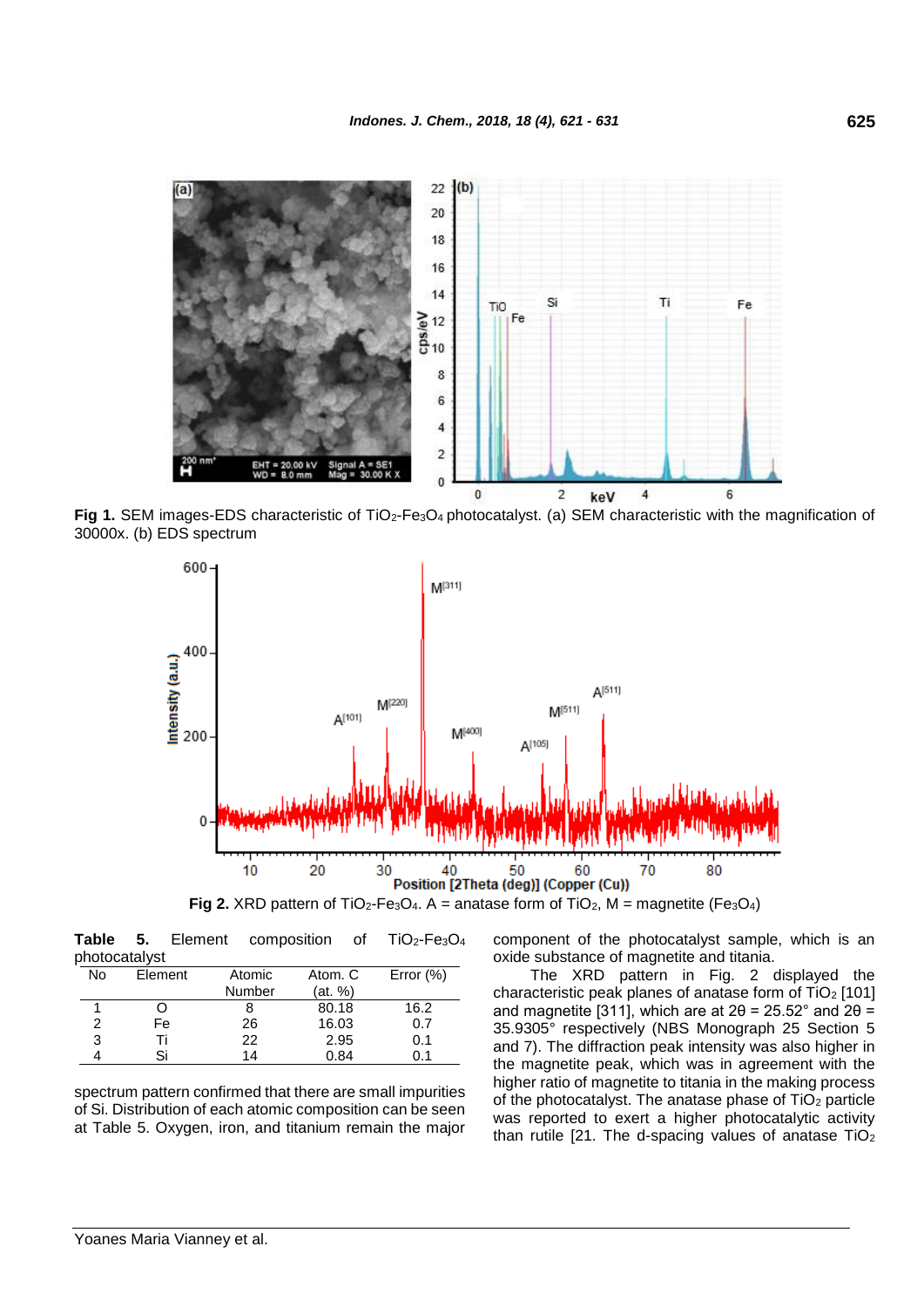

Fig 1. SEM images-EDS characteristic of TiO<sub>2</sub>-Fe<sub>3</sub>O<sub>4</sub> photocatalyst. (a) SEM characteristic with the magnification of 30000x. (b) EDS spectrum



Table 5. Element composition of TiO<sub>2</sub>-Fe<sub>3</sub>O<sub>4</sub> photocatalyst

| 16.2 |
|------|
| 0.7  |
| 0.1  |
|      |
|      |

spectrum pattern confirmed that there are small impurities of Si. Distribution of each atomic composition can be seen at Table 5. Oxygen, iron, and titanium remain the major component of the photocatalyst sample, which is an oxide substance of magnetite and titania.

The XRD pattern in Fig. 2 displayed the characteristic peak planes of anatase form of TiO<sup>2</sup> [101] and magnetite [311], which are at  $2\theta = 25.52^{\circ}$  and  $2\theta =$ 35.9305° respectively (NBS Monograph 25 Section 5 and 7). The diffraction peak intensity was also higher in the magnetite peak, which was in agreement with the higher ratio of magnetite to titania in the making process of the photocatalyst. The anatase phase of TiO<sub>2</sub> particle was reported to exert a higher photocatalytic activity than rutile [21. The d-spacing values of anatase  $TiO<sub>2</sub>$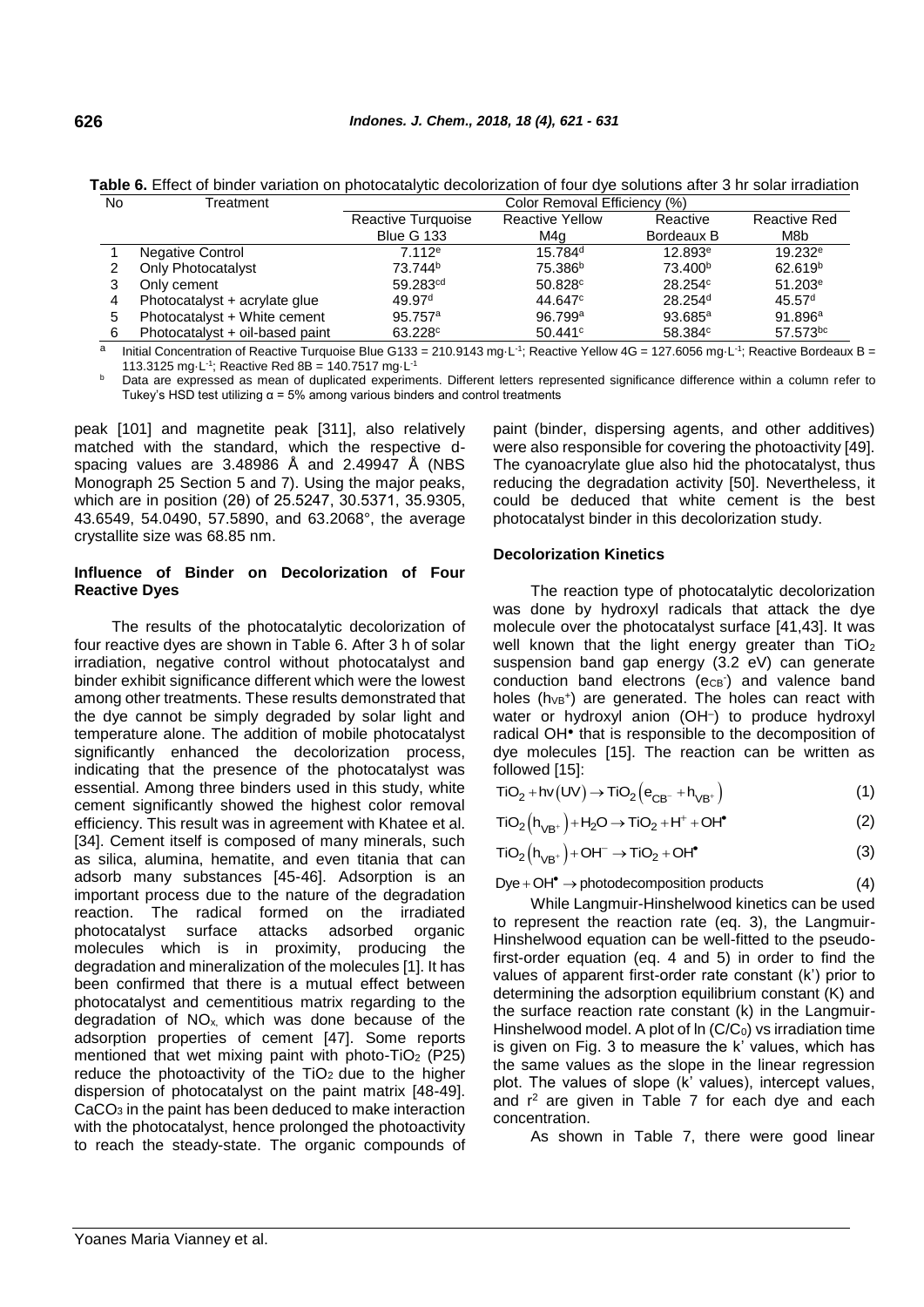| <b>INO</b> | rreatment                       | COIOI Removal Emclency (%) |                        |                     |                       |
|------------|---------------------------------|----------------------------|------------------------|---------------------|-----------------------|
|            |                                 | Reactive Turquoise         | <b>Reactive Yellow</b> | Reactive            | Reactive Red          |
|            |                                 | <b>Blue G 133</b>          | M4a                    | Bordeaux B          | M8b                   |
|            | Negative Control                | 7.112e                     | $15.784$ <sup>d</sup>  | 12.893e             | 19.232e               |
|            | Only Photocatalyst              | 73.744 <sup>b</sup>        | 75.386 <sup>b</sup>    | 73.400 <sup>b</sup> | 62.619 <sup>b</sup>   |
|            | Only cement                     | 59.283 <sup>cd</sup>       | 50.828c                | 28.254 <sup>c</sup> | $51.203$ <sup>e</sup> |
| 4          | Photocatalyst + acrylate glue   | 49.97 <sup>d</sup>         | 44.647 <sup>c</sup>    | 28.254 <sup>d</sup> | 45.57 <sup>d</sup>    |
| 5          | Photocatalyst + White cement    | 95.757 <sup>a</sup>        | 96.799a                | $93.685^{\circ}$    | 91.896a               |
| 6          | Photocatalyst + oil-based paint | 63.228c                    | 50.441c                | 58.384 <sup>c</sup> | 57.573bc              |

**Table 6.** Effect of binder variation on photocatalytic decolorization of four dye solutions after 3 hr solar irradiation Color Removal Efficiency (%)

a Initial Concentration of Reactive Turquoise Blue G133 = 210.9143 mg·L<sup>-1</sup>; Reactive Yellow 4G = 127.6056 mg·L<sup>-1</sup>; Reactive Bordeaux B = 113.3125 mg $\cdot$ L<sup>-1</sup>; Reactive Red 8B = 140.7517 mg $\cdot$ L<sup>-1</sup>

**b** Data are expressed as mean of duplicated experiments. Different letters represented significance difference within a column refer to Tukey's HSD test utilizing  $\alpha$  = 5% among various binders and control treatments

peak [101] and magnetite peak [311], also relatively matched with the standard, which the respective dspacing values are 3.48986 Å and 2.49947 Å (NBS Monograph 25 Section 5 and 7). Using the major peaks, which are in position (2θ) of 25.5247, 30.5371, 35.9305, 43.6549, 54.0490, 57.5890, and 63.2068°, the average crystallite size was 68.85 nm.

### **Influence of Binder on Decolorization of Four Reactive Dyes**

The results of the photocatalytic decolorization of four reactive dyes are shown in Table 6. After 3 h of solar irradiation, negative control without photocatalyst and binder exhibit significance different which were the lowest among other treatments. These results demonstrated that the dye cannot be simply degraded by solar light and temperature alone. The addition of mobile photocatalyst significantly enhanced the decolorization process, indicating that the presence of the photocatalyst was essential. Among three binders used in this study, white cement significantly showed the highest color removal efficiency. This result was in agreement with Khatee et al. [34]. Cement itself is composed of many minerals, such as silica, alumina, hematite, and even titania that can adsorb many substances [45-46]. Adsorption is an important process due to the nature of the degradation reaction. The radical formed on the irradiated photocatalyst surface attacks adsorbed organic molecules which is in proximity, producing the degradation and mineralization of the molecules [1]. It has been confirmed that there is a mutual effect between photocatalyst and cementitious matrix regarding to the degradation of NOx, which was done because of the adsorption properties of cement [47]. Some reports mentioned that wet mixing paint with photo-TiO<sub>2</sub> (P25) reduce the photoactivity of the  $TiO<sub>2</sub>$  due to the higher dispersion of photocatalyst on the paint matrix [48-49]. CaCO<sub>3</sub> in the paint has been deduced to make interaction with the photocatalyst, hence prolonged the photoactivity to reach the steady-state. The organic compounds of

paint (binder, dispersing agents, and other additives) were also responsible for covering the photoactivity [49]. The cyanoacrylate glue also hid the photocatalyst, thus reducing the degradation activity [50]. Nevertheless, it could be deduced that white cement is the best photocatalyst binder in this decolorization study.

### **Decolorization Kinetics**

The reaction type of photocatalytic decolorization was done by hydroxyl radicals that attack the dye molecule over the photocatalyst surface [41,43]. It was well known that the light energy greater than TiO<sub>2</sub> suspension band gap energy (3.2 eV) can generate conduction band electrons (ecB-) and valence band holes  $(hvBV})$  are generated. The holes can react with water or hydroxyl anion (OH– ) to produce hydroxyl radical OH<sup>•</sup> that is responsible to the decomposition of dye molecules [15]. The reaction can be written as followed [15]:

$$
TiO2 + hv(UV) \rightarrow TiO2(eCB- + hVB+)
$$
\n(1)

$$
TiO2(hVB+) + H2O \to TiO2 + H+ + OH•
$$
 (2)

$$
TiO2(hVB+) + OH- \rightarrow TiO2 + OH•
$$
 (3)

 $Dye + OH<sup>•</sup> \rightarrow photodecomposition products$ (4)

While Langmuir-Hinshelwood kinetics can be used to represent the reaction rate (eq. 3), the Langmuir-Hinshelwood equation can be well-fitted to the pseudofirst-order equation (eq. 4 and 5) in order to find the values of apparent first-order rate constant (k') prior to determining the adsorption equilibrium constant (K) and the surface reaction rate constant (k) in the Langmuir-Hinshelwood model. A plot of  $\ln(C/C_0)$  vs irradiation time is given on Fig. 3 to measure the k' values, which has the same values as the slope in the linear regression plot. The values of slope (k' values), intercept values, and  $r^2$  are given in Table 7 for each dye and each concentration.

As shown in Table 7, there were good linear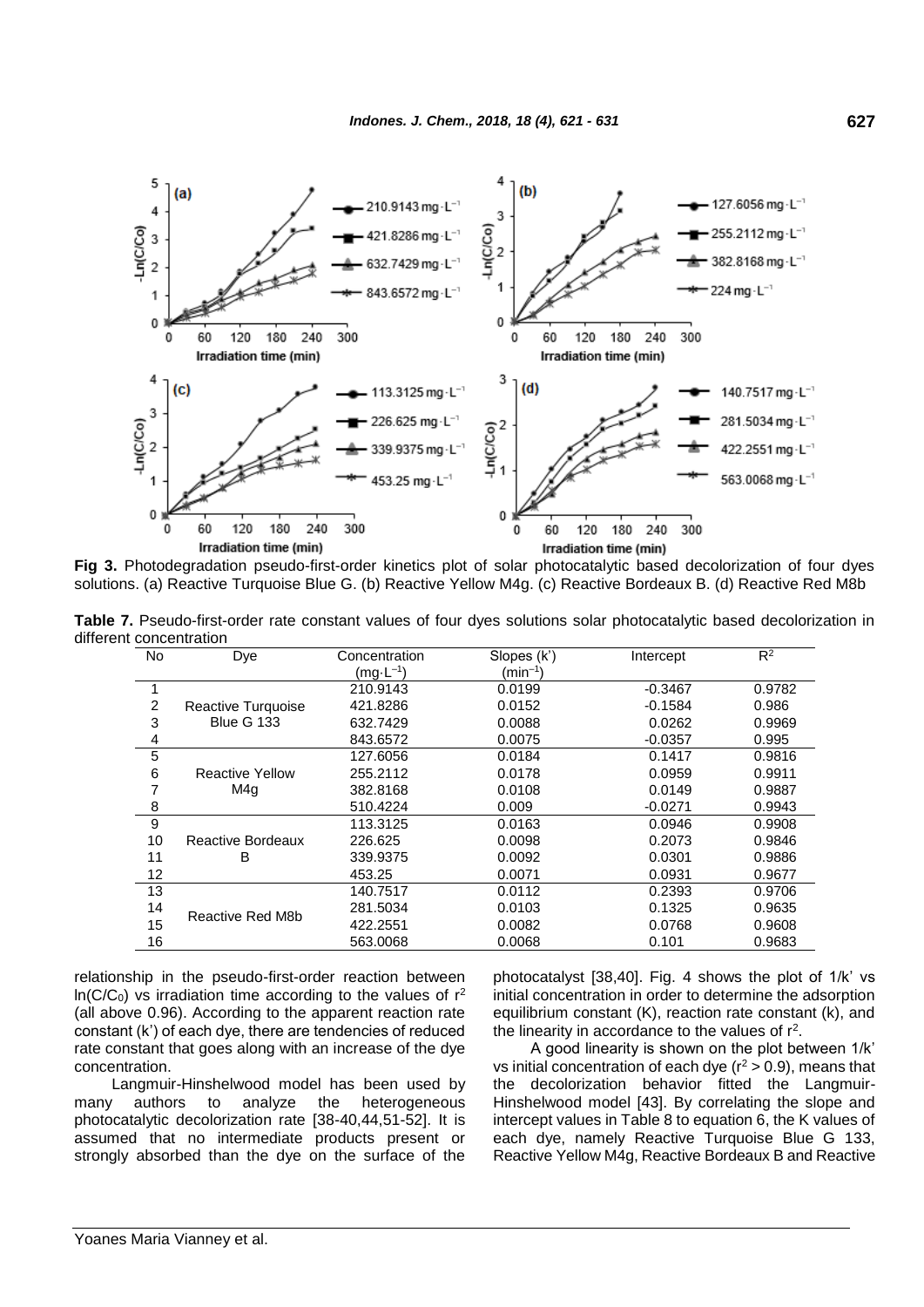

**Fig 3.** Photodegradation pseudo-first-order kinetics plot of solar photocatalytic based decolorization of four dyes solutions. (a) Reactive Turquoise Blue G. (b) Reactive Yellow M4g. (c) Reactive Bordeaux B. (d) Reactive Red M8b

**Table 7.** Pseudo-first-order rate constant values of four dyes solutions solar photocatalytic based decolorization in different concentration

| <b>No</b> | Dye                    | Concentration       | Slopes (k')         | Intercept | $R^2$  |
|-----------|------------------------|---------------------|---------------------|-----------|--------|
|           |                        | $(mg \cdot L^{-1})$ | $(\text{min}^{-1})$ |           |        |
| 1         |                        | 210.9143            | 0.0199              | $-0.3467$ | 0.9782 |
| 2         | Reactive Turquoise     | 421.8286            | 0.0152              | $-0.1584$ | 0.986  |
| 3         | <b>Blue G 133</b>      | 632.7429            | 0.0088              | 0.0262    | 0.9969 |
| 4         |                        | 843.6572            | 0.0075              | $-0.0357$ | 0.995  |
| 5         |                        | 127.6056            | 0.0184              | 0.1417    | 0.9816 |
| 6         | <b>Reactive Yellow</b> | 255.2112            | 0.0178              | 0.0959    | 0.9911 |
| 7         | M4q                    | 382.8168            | 0.0108              | 0.0149    | 0.9887 |
| 8         |                        | 510.4224            | 0.009               | $-0.0271$ | 0.9943 |
| 9         |                        | 113.3125            | 0.0163              | 0.0946    | 0.9908 |
| 10        | Reactive Bordeaux      | 226.625             | 0.0098              | 0.2073    | 0.9846 |
| 11        | B                      | 339.9375            | 0.0092              | 0.0301    | 0.9886 |
| 12        |                        | 453.25              | 0.0071              | 0.0931    | 0.9677 |
| 13        |                        | 140.7517            | 0.0112              | 0.2393    | 0.9706 |
| 14        | Reactive Red M8b       | 281.5034            | 0.0103              | 0.1325    | 0.9635 |
| 15        |                        | 422.2551            | 0.0082              | 0.0768    | 0.9608 |
| 16        |                        | 563,0068            | 0.0068              | 0.101     | 0.9683 |

relationship in the pseudo-first-order reaction between  $ln(C/C_0)$  vs irradiation time according to the values of  $r^2$ (all above 0.96). According to the apparent reaction rate constant (k') of each dye, there are tendencies of reduced rate constant that goes along with an increase of the dye concentration.

Langmuir-Hinshelwood model has been used by many authors to analyze the heterogeneous photocatalytic decolorization rate [38-40,44,51-52]. It is assumed that no intermediate products present or strongly absorbed than the dye on the surface of the photocatalyst [38,40]. Fig. 4 shows the plot of 1/k' vs initial concentration in order to determine the adsorption equilibrium constant (K), reaction rate constant (k), and the linearity in accordance to the values of  $r^2$ .

A good linearity is shown on the plot between 1/k' vs initial concentration of each dye ( $r^2 > 0.9$ ), means that the decolorization behavior fitted the Langmuir-Hinshelwood model [43]. By correlating the slope and intercept values in Table 8 to equation 6, the K values of each dye, namely Reactive Turquoise Blue G 133, Reactive Yellow M4g, Reactive Bordeaux B and Reactive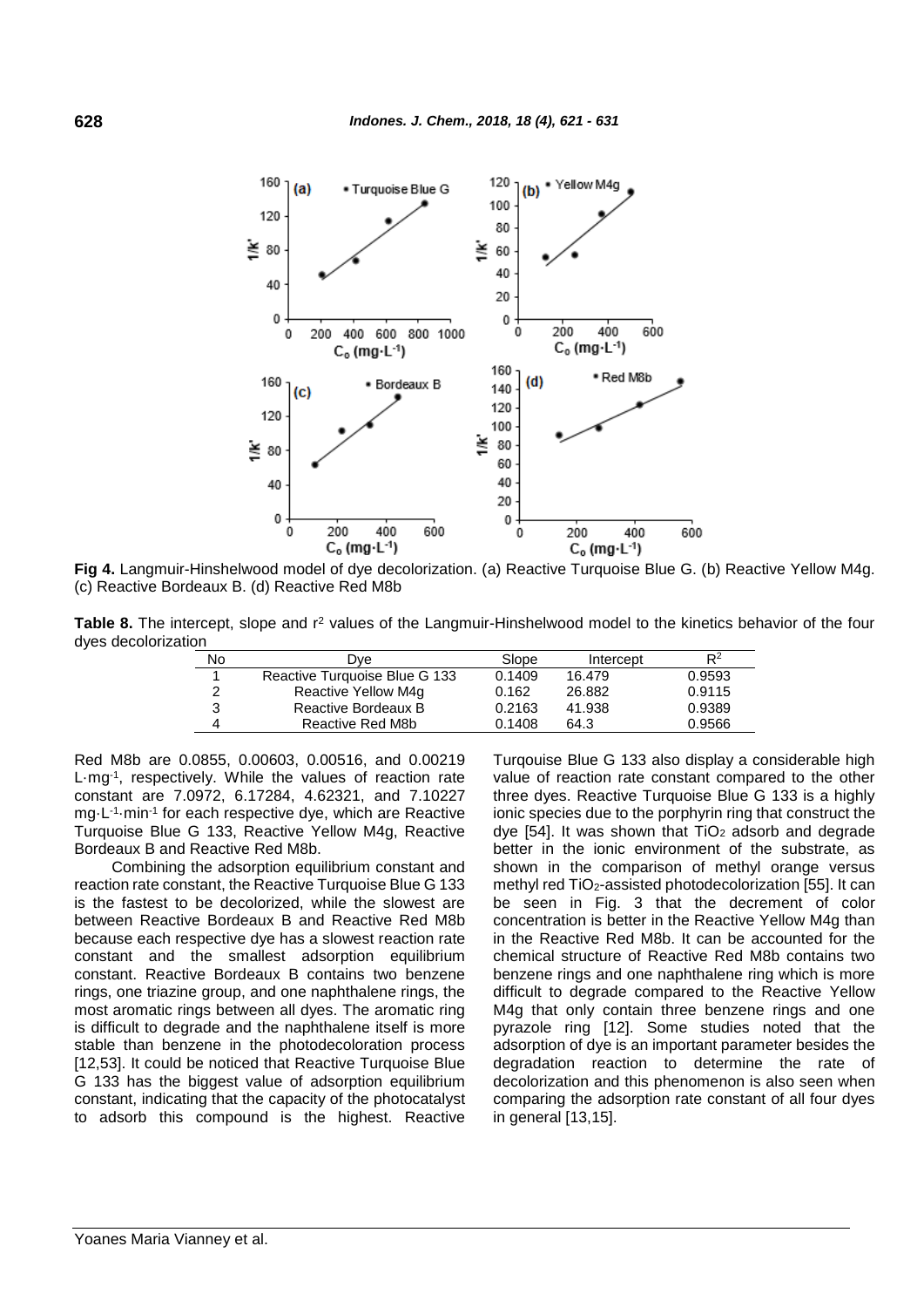

**Fig 4.** Langmuir-Hinshelwood model of dye decolorization. (a) Reactive Turquoise Blue G. (b) Reactive Yellow M4g. (c) Reactive Bordeaux B. (d) Reactive Red M8b

**Table 8.** The intercept, slope and r<sup>2</sup> values of the Langmuir-Hinshelwood model to the kinetics behavior of the four dyes decolorization

| . |    |                               |        |           |        |
|---|----|-------------------------------|--------|-----------|--------|
|   | No | Dve                           | Slope  | Intercept | $R^2$  |
|   |    | Reactive Turquoise Blue G 133 | 0.1409 | 16.479    | 0.9593 |
|   | 2  | Reactive Yellow M4q           | 0.162  | 26.882    | 0.9115 |
|   | 3  | Reactive Bordeaux B           | 0.2163 | 41.938    | 0.9389 |
|   | 4  | Reactive Red M8b              | 0.1408 | 64.3      | 0.9566 |

Red M8b are 0.0855, 0.00603, 0.00516, and 0.00219 L·mg-1 , respectively. While the values of reaction rate constant are 7.0972, 6.17284, 4.62321, and 7.10227 mg·L-1 ·min-1 for each respective dye, which are Reactive Turquoise Blue G 133, Reactive Yellow M4g, Reactive Bordeaux B and Reactive Red M8b.

Combining the adsorption equilibrium constant and reaction rate constant, the Reactive Turquoise Blue G 133 is the fastest to be decolorized, while the slowest are between Reactive Bordeaux B and Reactive Red M8b because each respective dye has a slowest reaction rate constant and the smallest adsorption equilibrium constant. Reactive Bordeaux B contains two benzene rings, one triazine group, and one naphthalene rings, the most aromatic rings between all dyes. The aromatic ring is difficult to degrade and the naphthalene itself is more stable than benzene in the photodecoloration process [12,53]. It could be noticed that Reactive Turquoise Blue G 133 has the biggest value of adsorption equilibrium constant, indicating that the capacity of the photocatalyst to adsorb this compound is the highest. Reactive Turqouise Blue G 133 also display a considerable high value of reaction rate constant compared to the other three dyes. Reactive Turquoise Blue G 133 is a highly ionic species due to the porphyrin ring that construct the dye [54]. It was shown that  $TiO<sub>2</sub>$  adsorb and degrade better in the ionic environment of the substrate, as shown in the comparison of methyl orange versus methyl red TiO2-assisted photodecolorization [55]. It can be seen in Fig. 3 that the decrement of color concentration is better in the Reactive Yellow M4g than in the Reactive Red M8b. It can be accounted for the chemical structure of Reactive Red M8b contains two benzene rings and one naphthalene ring which is more difficult to degrade compared to the Reactive Yellow M4g that only contain three benzene rings and one pyrazole ring [12]. Some studies noted that the adsorption of dye is an important parameter besides the degradation reaction to determine the rate of decolorization and this phenomenon is also seen when comparing the adsorption rate constant of all four dyes in general [13,15].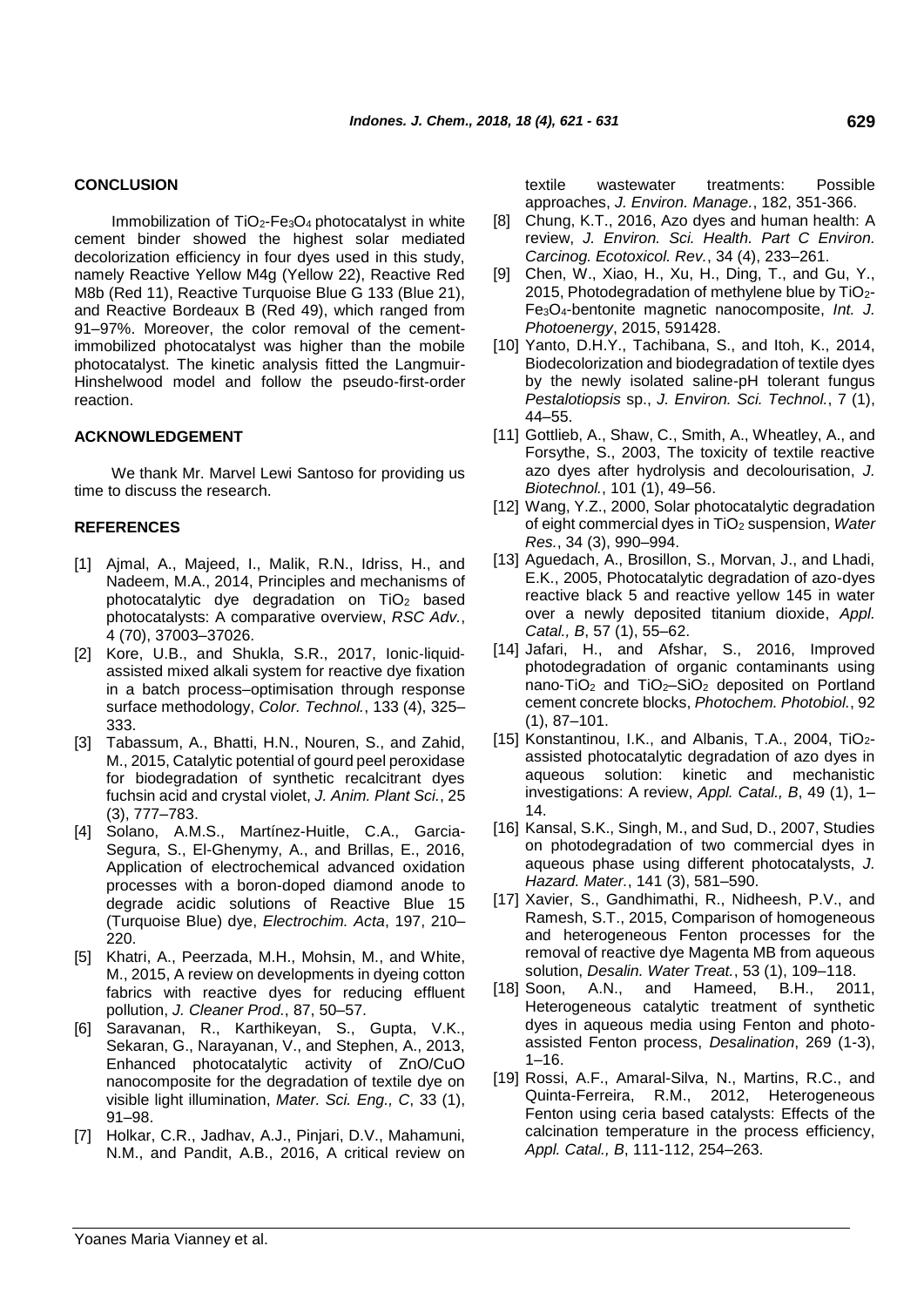### **CONCLUSION**

Immobilization of  $TiO<sub>2</sub>-Fe<sub>3</sub>O<sub>4</sub>$  photocatalyst in white cement binder showed the highest solar mediated decolorization efficiency in four dyes used in this study, namely Reactive Yellow M4g (Yellow 22), Reactive Red M8b (Red 11), Reactive Turquoise Blue G 133 (Blue 21), and Reactive Bordeaux B (Red 49), which ranged from 91–97%. Moreover, the color removal of the cementimmobilized photocatalyst was higher than the mobile photocatalyst. The kinetic analysis fitted the Langmuir-Hinshelwood model and follow the pseudo-first-order reaction.

### **ACKNOWLEDGEMENT**

We thank Mr. Marvel Lewi Santoso for providing us time to discuss the research.

### **REFERENCES**

- [1] Ajmal, A., Majeed, I., Malik, R.N., Idriss, H., and Nadeem, M.A., 2014, Principles and mechanisms of photocatalytic dye degradation on TiO<sup>2</sup> based photocatalysts: A comparative overview, *RSC Adv.*, 4 (70), 37003–37026.
- [2] Kore, U.B., and Shukla, S.R., 2017, Ionic-liquidassisted mixed alkali system for reactive dye fixation in a batch process–optimisation through response surface methodology, *Color. Technol.*, 133 (4), 325– 333.
- [3] Tabassum, A., Bhatti, H.N., Nouren, S., and Zahid, M., 2015, Catalytic potential of gourd peel peroxidase for biodegradation of synthetic recalcitrant dyes fuchsin acid and crystal violet, *J. Anim. Plant Sci.*, 25 (3), 777–783.
- [4] Solano, A.M.S., Martínez-Huitle, C.A., Garcia-Segura, S., El-Ghenymy, A., and Brillas, E., 2016, Application of electrochemical advanced oxidation processes with a boron-doped diamond anode to degrade acidic solutions of Reactive Blue 15 (Turquoise Blue) dye, *Electrochim. Acta*, 197, 210– 220.
- [5] Khatri, A., Peerzada, M.H., Mohsin, M., and White, M., 2015, A review on developments in dyeing cotton fabrics with reactive dyes for reducing effluent pollution, *J. Cleaner Prod.*, 87, 50–57.
- [6] Saravanan, R., Karthikeyan, S., Gupta, V.K., Sekaran, G., Narayanan, V., and Stephen, A., 2013, Enhanced photocatalytic activity of ZnO/CuO nanocomposite for the degradation of textile dye on visible light illumination, *Mater. Sci. Eng., C*, 33 (1), 91–98.
- [7] Holkar, C.R., Jadhav, A.J., Pinjari, D.V., Mahamuni, N.M., and Pandit, A.B., 2016, A critical review on

textile wastewater treatments: Possible approaches, *J. Environ. Manage.*, 182, 351-366.

- [8] Chung, K.T., 2016, Azo dyes and human health: A review, *J. Environ. Sci. Health. Part C Environ. Carcinog. Ecotoxicol. Rev.*, 34 (4), 233–261.
- [9] Chen, W., Xiao, H., Xu, H., Ding, T., and Gu, Y., 2015, Photodegradation of methylene blue by  $TiO<sub>2</sub>$ -Fe3O4-bentonite magnetic nanocomposite, *Int. J. Photoenergy*, 2015, 591428.
- [10] Yanto, D.H.Y., Tachibana, S., and Itoh, K., 2014, Biodecolorization and biodegradation of textile dyes by the newly isolated saline-pH tolerant fungus *Pestalotiopsis* sp., *J. Environ. Sci. Technol.*, 7 (1), 44–55.
- [11] Gottlieb, A., Shaw, C., Smith, A., Wheatley, A., and Forsythe, S., 2003, The toxicity of textile reactive azo dyes after hydrolysis and decolourisation, *J. Biotechnol.*, 101 (1), 49–56.
- [12] Wang, Y.Z., 2000, Solar photocatalytic degradation of eight commercial dyes in TiO<sup>2</sup> suspension, *Water Res.*, 34 (3), 990–994.
- [13] Aguedach, A., Brosillon, S., Morvan, J., and Lhadi, E.K., 2005, Photocatalytic degradation of azo-dyes reactive black 5 and reactive yellow 145 in water over a newly deposited titanium dioxide, *Appl. Catal., B*, 57 (1), 55–62.
- [14] Jafari, H., and Afshar, S., 2016, Improved photodegradation of organic contaminants using nano‐TiO<sup>2</sup> and TiO2–SiO<sup>2</sup> deposited on Portland cement concrete blocks, *Photochem. Photobiol.*, 92 (1), 87–101.
- [15] Konstantinou, I.K., and Albanis, T.A., 2004, TiO2assisted photocatalytic degradation of azo dyes in aqueous solution: kinetic and mechanistic investigations: A review, *Appl. Catal., B*, 49 (1), 1– 14.
- [16] Kansal, S.K., Singh, M., and Sud, D., 2007, Studies on photodegradation of two commercial dyes in aqueous phase using different photocatalysts, *J. Hazard. Mater.*, 141 (3), 581–590.
- [17] Xavier, S., Gandhimathi, R., Nidheesh, P.V., and Ramesh, S.T., 2015, Comparison of homogeneous and heterogeneous Fenton processes for the removal of reactive dye Magenta MB from aqueous solution, *Desalin. Water Treat.*, 53 (1), 109–118.
- [18] Soon, A.N., and Hameed, B.H., 2011, Heterogeneous catalytic treatment of synthetic dyes in aqueous media using Fenton and photoassisted Fenton process, *Desalination*, 269 (1-3), 1–16.
- [19] Rossi, A.F., Amaral-Silva, N., Martins, R.C., and Quinta-Ferreira, R.M., 2012, Heterogeneous Fenton using ceria based catalysts: Effects of the calcination temperature in the process efficiency, *Appl. Catal., B*, 111-112, 254–263.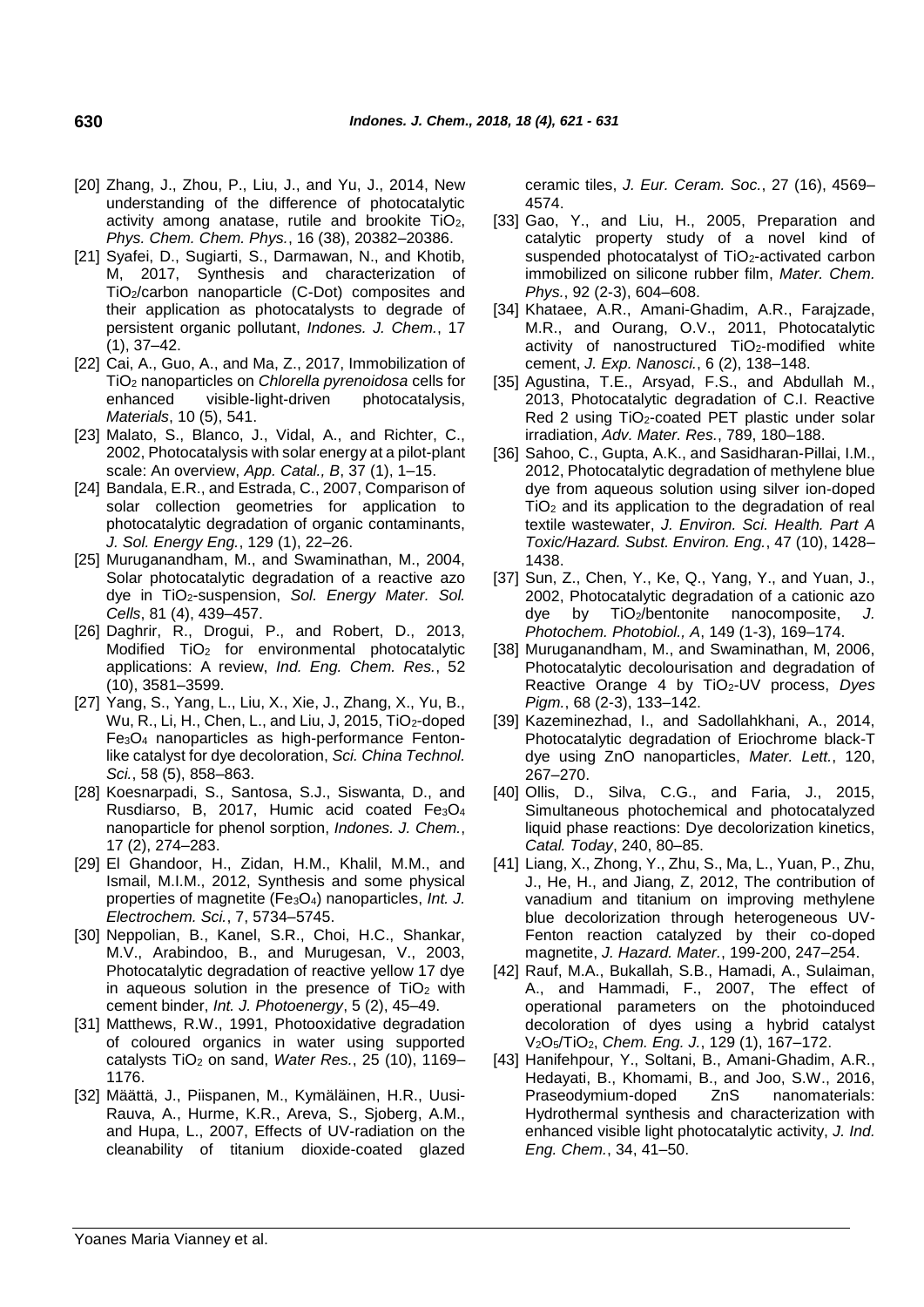- [20] Zhang, J., Zhou, P., Liu, J., and Yu, J., 2014, New understanding of the difference of photocatalytic activity among anatase, rutile and brookite TiO2, *Phys. Chem. Chem. Phys.*, 16 (38), 20382–20386.
- [21] Syafei, D., Sugiarti, S., Darmawan, N., and Khotib, M, 2017, Synthesis and characterization of TiO2/carbon nanoparticle (C-Dot) composites and their application as photocatalysts to degrade of persistent organic pollutant, *Indones. J. Chem.*, 17 (1), 37–42.
- [22] Cai, A., Guo, A., and Ma, Z., 2017, Immobilization of TiO<sup>2</sup> nanoparticles on *Chlorella pyrenoidosa* cells for enhanced visible-light-driven photocatalysis, *Materials*, 10 (5), 541.
- [23] Malato, S., Blanco, J., Vidal, A., and Richter, C., 2002, Photocatalysis with solar energy at a pilot-plant scale: An overview, *App. Catal., B*, 37 (1), 1–15.
- [24] Bandala, E.R., and Estrada, C., 2007, Comparison of solar collection geometries for application to photocatalytic degradation of organic contaminants, *J. Sol. Energy Eng.*, 129 (1), 22–26.
- [25] Muruganandham, M., and Swaminathan, M., 2004, Solar photocatalytic degradation of a reactive azo dye in TiO2-suspension, *Sol. Energy Mater. Sol. Cells*, 81 (4), 439–457.
- [26] Daghrir, R., Drogui, P., and Robert, D., 2013, Modified TiO<sub>2</sub> for environmental photocatalytic applications: A review, *Ind. Eng. Chem. Res.*, 52 (10), 3581–3599.
- [27] Yang, S., Yang, L., Liu, X., Xie, J., Zhang, X., Yu, B., Wu, R., Li, H., Chen, L., and Liu, J, 2015, TiO2-doped Fe3O<sup>4</sup> nanoparticles as high-performance Fentonlike catalyst for dye decoloration, *Sci. China Technol. Sci.*, 58 (5), 858–863.
- [28] Koesnarpadi, S., Santosa, S.J., Siswanta, D., and Rusdiarso, B, 2017, Humic acid coated Fe3O<sup>4</sup> nanoparticle for phenol sorption, *Indones. J. Chem.*, 17 (2), 274–283.
- [29] El Ghandoor, H., Zidan, H.M., Khalil, M.M., and Ismail, M.I.M., 2012, Synthesis and some physical properties of magnetite (Fe3O4) nanoparticles, *Int. J. Electrochem. Sci.*, 7, 5734–5745.
- [30] Neppolian, B., Kanel, S.R., Choi, H.C., Shankar, M.V., Arabindoo, B., and Murugesan, V., 2003, Photocatalytic degradation of reactive yellow 17 dye in aqueous solution in the presence of  $TiO<sub>2</sub>$  with cement binder, *Int. J. Photoenergy*, 5 (2), 45–49.
- [31] Matthews, R.W., 1991, Photooxidative degradation of coloured organics in water using supported catalysts TiO<sub>2</sub> on sand, Water Res., 25 (10), 1169-1176.
- [32] Määttä, J., Piispanen, M., Kymäläinen, H.R., Uusi-Rauva, A., Hurme, K.R., Areva, S., Sjoberg, A.M., and Hupa, L., 2007, Effects of UV-radiation on the cleanability of titanium dioxide-coated glazed

ceramic tiles, *J. Eur. Ceram. Soc.*, 27 (16), 4569– 4574.

- [33] Gao, Y., and Liu, H., 2005, Preparation and catalytic property study of a novel kind of suspended photocatalyst of TiO<sub>2</sub>-activated carbon immobilized on silicone rubber film, *Mater. Chem. Phys.*, 92 (2-3), 604–608.
- [34] Khataee, A.R., Amani-Ghadim, A.R., Farajzade, M.R., and Ourang, O.V., 2011, Photocatalytic activity of nanostructured TiO<sub>2</sub>-modified white cement, *J. Exp. Nanosci.*, 6 (2), 138–148.
- [35] Agustina, T.E., Arsyad, F.S., and Abdullah M., 2013, Photocatalytic degradation of C.I. Reactive Red 2 using TiO2-coated PET plastic under solar irradiation, *Adv. Mater. Res.*, 789, 180–188.
- [36] Sahoo, C., Gupta, A.K., and Sasidharan-Pillai, I.M., 2012, Photocatalytic degradation of methylene blue dye from aqueous solution using silver ion-doped TiO<sup>2</sup> and its application to the degradation of real textile wastewater, *J. Environ. Sci. Health. Part A Toxic/Hazard. Subst. Environ. Eng.*, 47 (10), 1428– 1438.
- [37] Sun, Z., Chen, Y., Ke, Q., Yang, Y., and Yuan, J., 2002, Photocatalytic degradation of a cationic azo dye by TiO<sub>2</sub>/bentonite nanocomposite, *Photochem. Photobiol., A*, 149 (1-3), 169–174.
- [38] Muruganandham, M., and Swaminathan, M, 2006, Photocatalytic decolourisation and degradation of Reactive Orange 4 by TiO2-UV process, *Dyes Pigm.*, 68 (2-3), 133–142.
- [39] Kazeminezhad, I., and Sadollahkhani, A., 2014, Photocatalytic degradation of Eriochrome black-T dye using ZnO nanoparticles, *Mater. Lett.*, 120, 267–270.
- [40] Ollis, D., Silva, C.G., and Faria, J., 2015, Simultaneous photochemical and photocatalyzed liquid phase reactions: Dye decolorization kinetics, *Catal. Today*, 240, 80–85.
- [41] Liang, X., Zhong, Y., Zhu, S., Ma, L., Yuan, P., Zhu, J., He, H., and Jiang, Z, 2012, The contribution of vanadium and titanium on improving methylene blue decolorization through heterogeneous UV-Fenton reaction catalyzed by their co-doped magnetite, *J. Hazard. Mater.*, 199-200, 247–254.
- [42] Rauf, M.A., Bukallah, S.B., Hamadi, A., Sulaiman, A., and Hammadi, F., 2007, The effect of operational parameters on the photoinduced decoloration of dyes using a hybrid catalyst V2O5/TiO2, *Chem. Eng. J.*, 129 (1), 167–172.
- [43] Hanifehpour, Y., Soltani, B., Amani-Ghadim, A.R., Hedayati, B., Khomami, B., and Joo, S.W., 2016, Praseodymium-doped ZnS nanomaterials: Hydrothermal synthesis and characterization with enhanced visible light photocatalytic activity, *J. Ind. Eng. Chem.*, 34, 41–50.